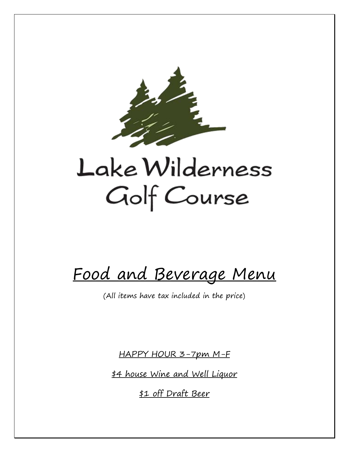

Food and Beverage Menu

(All items have tax included in the price)

HAPPY HOUR 3-7pm M-F

\$4 house Wine and Well Liquor

\$1 off Draft Beer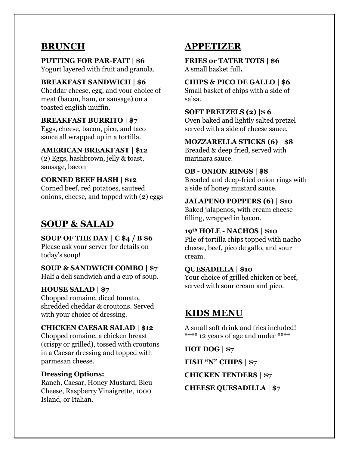## **BRUNCH**

**PUTTING FOR PAR-FAIT | \$6**  Yogurt layered with fruit and granola.

#### **BREAKFAST SANDWICH | \$6**

Cheddar cheese, egg, and your choice of meat (bacon, ham, or sausage) on a toasted english muffin.

#### **BREAKFAST BURRITO | \$7**

Eggs, cheese, bacon, pico, and taco sauce all wrapped up in a tortilla.

#### **AMERICAN BREAKFAST | \$12**

(2) Eggs, hashbrown, jelly & toast, sausage, bacon

#### **CORNED BEEF HASH | \$12**

Corned beef, red potatoes, sauteed onions, cheese, and topped with (2) eggs

# **SOUP & SALAD**

#### **SOUP OF THE DAY | C \$4 / B \$6**

Please ask your server for details on today's soup!

### **SOUP & SANDWICH COMBO | \$7**

Half a deli sandwich and a cup of soup.

#### **HOUSE SALAD | \$7**

Chopped romaine, diced tomato, shredded cheddar & croutons. Served with your choice of dressing.

#### **CHICKEN CAESAR SALAD | \$12**

Chopped romaine, a chicken breast (crispy or grilled), tossed with croutons in a Caesar dressing and topped with parmesan cheese.

#### **Dressing Options:**

Ranch, Caesar, Honey Mustard, Bleu Cheese, Raspberry Vinaigrette, 1000 Island, or Italian.

## **APPETIZER**

**FRIES or TATER TOTS | \$6** A small basket full**.**

## **CHIPS & PICO DE GALLO | \$6**

Small basket of chips with a side of salsa.

#### **SOFT PRETZELS (2) |\$ 6**

Oven baked and lightly salted pretzel served with a side of cheese sauce.

#### **MOZZARELLA STICKS (6) | \$8**

Breaded & deep fried, served with marinara sauce.

#### **OB - ONION RINGS | \$8**

Breaded and deep-fried onion rings with a side of honey mustard sauce.

#### **JALAPENO POPPERS (6) | \$10**

Baked jalapenos, with cream cheese filling, wrapped in bacon.

#### **19th HOLE - NACHOS | \$10**

Pile of tortilla chips topped with nacho cheese, beef, pico de gallo, and sour cream.

#### **QUESADILLA | \$10**

Your choice of grilled chicken or beef, served with sour cream and pico.

## **KIDS MENU**

A small soft drink and fries included! \*\*\*\* 12 years of age and under \*\*\*\*

**HOT DOG | \$7**

**FISH "N" CHIPS | \$7**

**CHICKEN TENDERS | \$7**

**CHEESE QUESADILLA | \$7**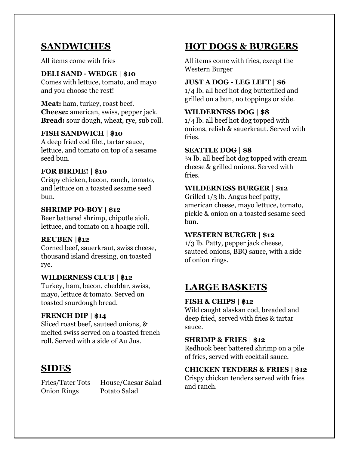## **SANDWICHES**

All items come with fries

#### **DELI SAND - WEDGE | \$10**

Comes with lettuce, tomato, and mayo and you choose the rest!

**Meat:** ham, turkey, roast beef. **Cheese:** american, swiss, pepper jack. **Bread:** sour dough, wheat, rye, sub roll.

### **FISH SANDWICH | \$10**

A deep fried cod filet, tartar sauce, lettuce, and tomato on top of a sesame seed bun.

#### **FOR BIRDIE! | \$10**

Crispy chicken, bacon, ranch, tomato, and lettuce on a toasted sesame seed bun.

#### **SHRIMP PO-BOY | \$12**

Beer battered shrimp, chipotle aioli, lettuce, and tomato on a hoagie roll.

#### **REUBEN |\$12**

Corned beef, sauerkraut, swiss cheese, thousand island dressing, on toasted rye.

#### **WILDERNESS CLUB | \$12**

Turkey, ham, bacon, cheddar, swiss, mayo, lettuce & tomato. Served on toasted sourdough bread.

### **FRENCH DIP | \$14**

Sliced roast beef, sauteed onions, & melted swiss served on a toasted french roll. Served with a side of Au Jus.

## **SIDES**

Onion Rings Potato Salad

Fries/Tater Tots House/Caesar Salad

# **HOT DOGS & BURGERS**

All items come with fries, except the Western Burger

#### **JUST A DOG - LEG LEFT | \$6**

1/4 lb. all beef hot dog butterflied and grilled on a bun, no toppings or side.

## **WILDERNESS DOG | \$8**

1/4 lb. all beef hot dog topped with onions, relish & sauerkraut. Served with fries.

#### **SEATTLE DOG | \$8**

 $\frac{1}{4}$  lb. all beef hot dog topped with cream cheese & grilled onions. Served with fries.

#### **WILDERNESS BURGER | \$12**

Grilled 1/3 lb. Angus beef patty, american cheese, mayo lettuce, tomato, pickle & onion on a toasted sesame seed bun.

#### **WESTERN BURGER | \$12**

1/3 lb. Patty, pepper jack cheese, sauteed onions, BBQ sauce, with a side of onion rings.

## **LARGE BASKETS**

### **FISH & CHIPS | \$12**

Wild caught alaskan cod, breaded and deep fried, served with fries & tartar sauce.

### **SHRIMP & FRIES | \$12**

Redhook beer battered shrimp on a pile of fries, served with cocktail sauce.

#### **CHICKEN TENDERS & FRIES | \$12**

Crispy chicken tenders served with fries and ranch.